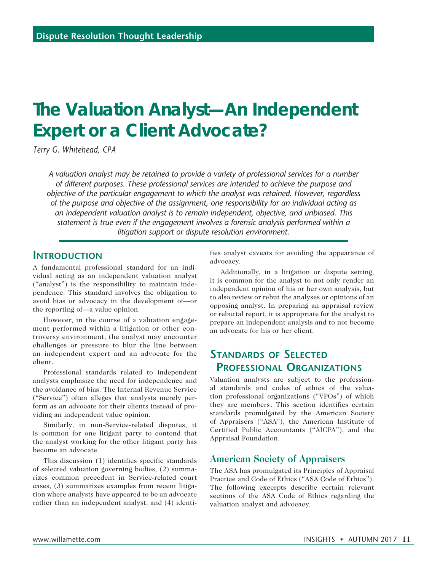# **The Valuation Analyst—An Independent Expert or a Client Advocate?**

*Terry G. Whitehead, CPA*

*A valuation analyst may be retained to provide a variety of professional services for a number of different purposes. These professional services are intended to achieve the purpose and objective of the particular engagement to which the analyst was retained. However, regardless of the purpose and objective of the assignment, one responsibility for an individual acting as an independent valuation analyst is to remain independent, objective, and unbiased. This statement is true even if the engagement involves a forensic analysis performed within a litigation support or dispute resolution environment.* 

#### **Introduction**

A fundamental professional standard for an individual acting as an independent valuation analyst ("analyst") is the responsibility to maintain independence. This standard involves the obligation to avoid bias or advocacy in the development of—or the reporting of—a value opinion.

However, in the course of a valuation engagement performed within a litigation or other controversy environment, the analyst may encounter challenges or pressure to blur the line between an independent expert and an advocate for the client.

Professional standards related to independent analysts emphasize the need for independence and the avoidance of bias. The Internal Revenue Service ("Service") often alleges that analysts merely perform as an advocate for their clients instead of providing an independent value opinion.

Similarly, in non-Service-related disputes, it is common for one litigant party to contend that the analyst working for the other litigant party has become an advocate.

This discussion (1) identifies specific standards of selected valuation governing bodies, (2) summarizes common precedent in Service-related court cases, (3) summarizes examples from recent litigation where analysts have appeared to be an advocate rather than an independent analyst, and (4) identifies analyst caveats for avoiding the appearance of advocacy.

Additionally, in a litigation or dispute setting, it is common for the analyst to not only render an independent opinion of his or her own analysis, but to also review or rebut the analyses or opinions of an opposing analyst. In preparing an appraisal review or rebuttal report, it is appropriate for the analyst to prepare an independent analysis and to not become an advocate for his or her client.

## **Standards of Selected Professional Organizations**

Valuation analysts are subject to the professional standards and codes of ethics of the valuation professional organizations ("VPOs") of which they are members. This section identifies certain standards promulgated by the American Society of Appraisers ("ASA"), the American Institute of Certified Public Accountants ("AICPA"), and the Appraisal Foundation.

#### **American Society of Appraisers**

The ASA has promulgated its Principles of Appraisal Practice and Code of Ethics ("ASA Code of Ethics"). The following excerpts describe certain relevant sections of the ASA Code of Ethics regarding the valuation analyst and advocacy.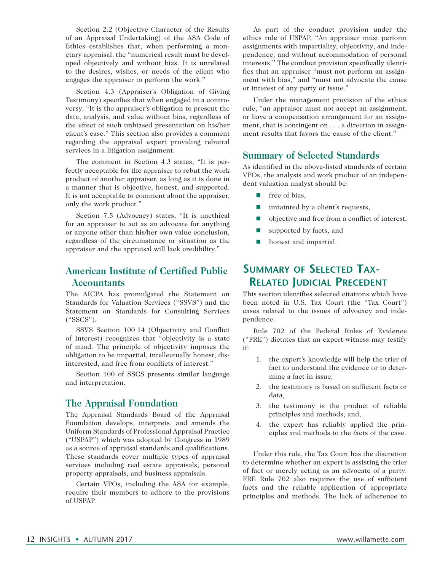Section 2.2 (Objective Character of the Results of an Appraisal Undertaking) of the ASA Code of Ethics establishes that, when performing a monetary appraisal, the "numerical result must be developed objectively and without bias. It is unrelated to the desires, wishes, or needs of the client who engages the appraiser to perform the work."

Section 4.3 (Appraiser's Obligation of Giving Testimony) specifies that when engaged in a controversy, "It is the appraiser's obligation to present the data, analysis, and value without bias, regardless of the effect of such unbiased presentation on his/her client's case." This section also provides a comment regarding the appraisal expert providing rebuttal services in a litigation assignment.

The comment in Section 4.3 states, "It is perfectly acceptable for the appraiser to rebut the work product of another appraiser, as long as it is done in a manner that is objective, honest, and supported. It is not acceptable to comment about the appraiser, only the work product."

Section 7.5 (Advocacy) states, "It is unethical for an appraiser to act as an advocate for anything or anyone other than his/her own value conclusion, regardless of the circumstance or situation as the appraiser and the appraisal will lack credibility."

## **American Institute of Certified Public Accountants**

The AICPA has promulgated the Statement on Standards for Valuation Services ("SSVS") and the Statement on Standards for Consulting Services ("SSCS").

SSVS Section 100.14 (Objectivity and Conflict of Interest) recognizes that "objectivity is a state of mind. The principle of objectivity imposes the obligation to be impartial, intellectually honest, disinterested, and free from conflicts of interest."

Section 100 of SSCS presents similar language and interpretation.

### **The Appraisal Foundation**

The Appraisal Standards Board of the Appraisal Foundation develops, interprets, and amends the Uniform Standards of Professional Appraisal Practice ("USPAP") which was adopted by Congress in 1989 as a source of appraisal standards and qualifications. These standards cover multiple types of appraisal services including real estate appraisals, personal property appraisals, and business appraisals.

Certain VPOs, including the ASA for example, require their members to adhere to the provisions of USPAP.

As part of the conduct provision under the ethics rule of USPAP, "An appraiser must perform assignments with impartiality, objectivity, and independence, and without accommodation of personal interests." The conduct provision specifically identifies that an appraiser "must not perform an assignment with bias," and "must not advocate the cause or interest of any party or issue."

Under the management provision of the ethics rule, "an appraiser must not accept an assignment, or have a compensation arrangement for an assignment, that is contingent on . . . a direction in assignment results that favors the cause of the client."

#### **Summary of Selected Standards**

As identified in the above-listed standards of certain VPOs, the analysis and work product of an independent valuation analyst should be:

- $\blacksquare$  free of bias,
- $\blacksquare$  untainted by a client's requests,
- $\Box$  objective and free from a conflict of interest,
- supported by facts, and
- **n** honest and impartial.

# **Summary of Selected Tax-Related Judicial Precedent**

This section identifies selected citations which have been noted in U.S. Tax Court (the "Tax Court") cases related to the issues of advocacy and independence.

Rule 702 of the Federal Rules of Evidence ("FRE") dictates that an expert witness may testify if:

- 1. the expert's knowledge will help the trier of fact to understand the evidence or to determine a fact in issue,
- 2. the testimony is based on sufficient facts or data,
- 3. the testimony is the product of reliable principles and methods; and,
- 4. the expert has reliably applied the principles and methods to the facts of the case.

Under this rule, the Tax Court has the discretion to determine whether an expert is assisting the trier of fact or merely acting as an advocate of a party. FRE Rule 702 also requires the use of sufficient facts and the reliable application of appropriate principles and methods. The lack of adherence to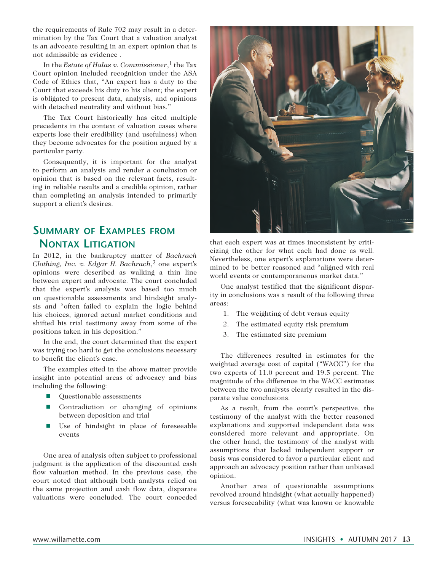the requirements of Rule 702 may result in a determination by the Tax Court that a valuation analyst is an advocate resulting in an expert opinion that is not admissible as evidence .

In the *Estate of Halas v. Commissioner*,<sup>1</sup> the Tax Court opinion included recognition under the ASA Code of Ethics that, "An expert has a duty to the Court that exceeds his duty to his client; the expert is obligated to present data, analysis, and opinions with detached neutrality and without bias."

The Tax Court historically has cited multiple precedents in the context of valuation cases where experts lose their credibility (and usefulness) when they become advocates for the position argued by a particular party.

Consequently, it is important for the analyst to perform an analysis and render a conclusion or opinion that is based on the relevant facts, resulting in reliable results and a credible opinion, rather than completing an analysis intended to primarily support a client's desires.

# **Summary of Examples from Nontax Litigation**

In 2012, in the bankruptcy matter of *Bachrach Clothing, Inc. v. Edgar H. Bachrach*,2 one expert's opinions were described as walking a thin line between expert and advocate. The court concluded that the expert's analysis was based too much on questionable assessments and hindsight analysis and "often failed to explain the logic behind his choices, ignored actual market conditions and shifted his trial testimony away from some of the positions taken in his deposition."

In the end, the court determined that the expert was trying too hard to get the conclusions necessary to benefit the client's case.

The examples cited in the above matter provide insight into potential areas of advocacy and bias including the following:

- Questionable assessments
- **n** Contradiction or changing of opinions between deposition and trial
- Use of hindsight in place of foreseeable events

One area of analysis often subject to professional judgment is the application of the discounted cash flow valuation method. In the previous case, the court noted that although both analysts relied on the same projection and cash flow data, disparate valuations were concluded. The court conceded



that each expert was at times inconsistent by criticizing the other for what each had done as well. Nevertheless, one expert's explanations were determined to be better reasoned and "aligned with real world events or contemporaneous market data."

One analyst testified that the significant disparity in conclusions was a result of the following three areas:

- 1. The weighting of debt versus equity
- 2. The estimated equity risk premium
- 3. The estimated size premium

The differences resulted in estimates for the weighted average cost of capital ("WACC") for the two experts of 11.0 percent and 19.5 percent. The magnitude of the difference in the WACC estimates between the two analysts clearly resulted in the disparate value conclusions.

As a result, from the court's perspective, the testimony of the analyst with the better reasoned explanations and supported independent data was considered more relevant and appropriate. On the other hand, the testimony of the analyst with assumptions that lacked independent support or basis was considered to favor a particular client and approach an advocacy position rather than unbiased opinion.

Another area of questionable assumptions revolved around hindsight (what actually happened) versus foreseeability (what was known or knowable